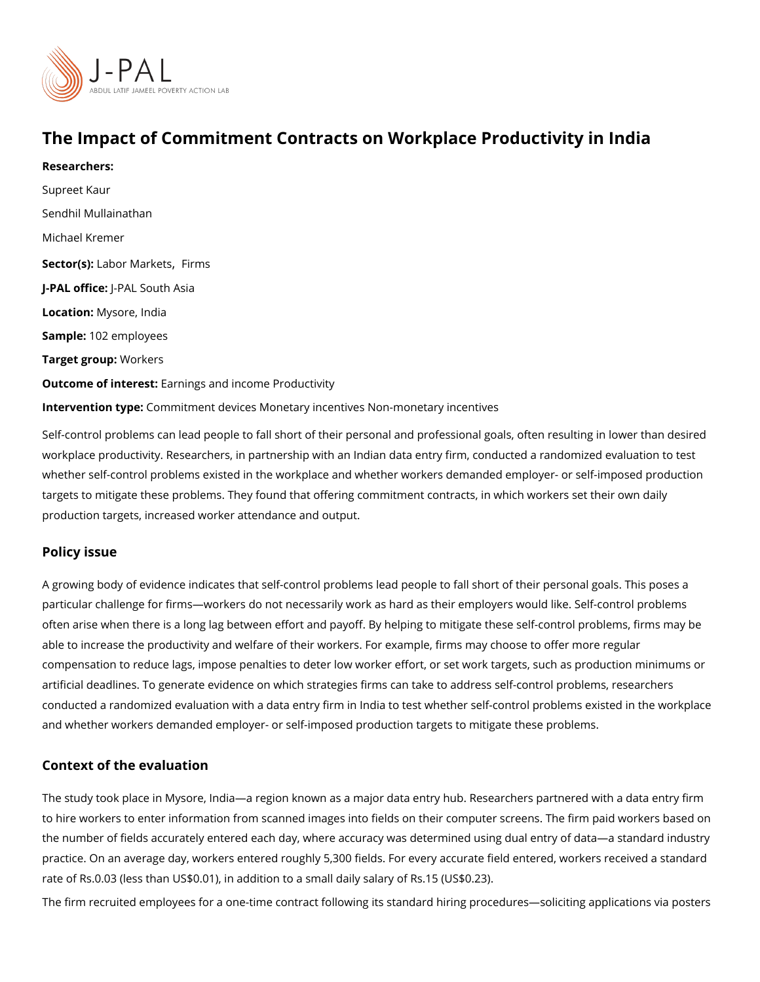# The Impact of Commitment Contracts on Workplace Producti

Researchers: [Supreet](https://www.povertyactionlab.org/person/kaur-0) Kaur [Sendhil Mulla](https://www.povertyactionlab.org/person/mullainathan)inathan [Michael Kr](https://www.povertyactionlab.org/person/kremer)emer Sector(Lsa) bor Mar[,](https://www.povertyactionlab.org/sector/labor-markets) k Feitrs ms J-PAL of Ui-cPeAL South Asia LocatioM:ysore, India Sample: 02 employees Target groWpp: rkers Outcome of interestings and income Productivity Intervention  $t\mathcal{Q}$  permitment devices Monetary incentives Non-monetary incentives

Self-control problems can lead people to fall short of their personal and professional goa workplace productivity. Researchers, in partnership with an Indian data entry firm, condue whether self-control problems existed in the workplace and whether workers demanded em targets to mitigate these problems. They found that offering commitment contracts, in whi production targets, increased worker attendance and output.

#### Policy issue

A growing body of evidence indicates that self-control problems lead people to fall short particular challenge for firms workers do not necessarily work as hard as their employers often arise when there is a long lag between effort and payoff. By helping to mitigate the able to increase the productivity and welfare of their workers. For example, firms may cho compensation to reduce lags, impose penalties to deter low worker effort, or set work targets, and a artificial deadlines. To generate evidence on which strategies firms can take to address s conducted a randomized evaluation with a data entry firm in India to test whether self-cor and whether workers demanded employer- or self-imposed production targets to mitigate t

#### Context of the evaluation

The study took place in Mysore, India a region known as a major data entry hub. Research to hire workers to enter information from scanned images into fields on their computer sc the number of fields accurately entered each day, where accuracy was determined using d practice. On an average day, workers entered roughly 5,300 fields. For every accurate fie rate of Rs.0.03 (less than US\$0.01), in addition to a small daily salary of Rs.15 (US\$0.23 The firm recruited employees for a one-time contract following its standard hiring procedu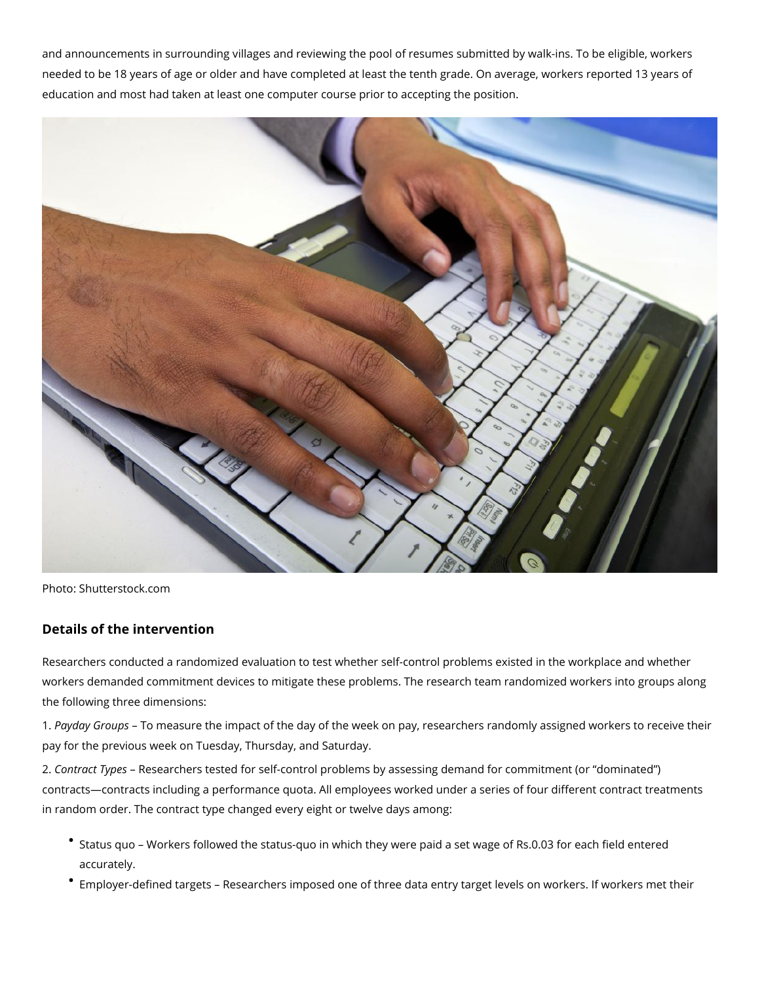and announcements in surrounding villages and reviewing the pool of resumes submitted by walk-ins. To be eligible, workers needed to be 18 years of age or older and have completed at least the tenth grade. On average, workers reported 13 years of education and most had taken at least one computer course prior to accepting the position.



Photo: Shutterstock.com

## **Details of the intervention**

Researchers conducted a randomized evaluation to test whether self-control problems existed in the workplace and whether workers demanded commitment devices to mitigate these problems. The research team randomized workers into groups along the following three dimensions:

1. *Payday Groups* – To measure the impact of the day of the week on pay, researchers randomly assigned workers to receive their pay for the previous week on Tuesday, Thursday, and Saturday.

2. *Contract Types* – Researchers tested for self-control problems by assessing demand for commitment (or "dominated") contracts—contracts including a performance quota. All employees worked under a series of four different contract treatments in random order. The contract type changed every eight or twelve days among:

- Status quo Workers followed the status-quo in which they were paid a set wage of Rs.0.03 for each field entered accurately.
- Employer-defined targets Researchers imposed one of three data entry target levels on workers. If workers met their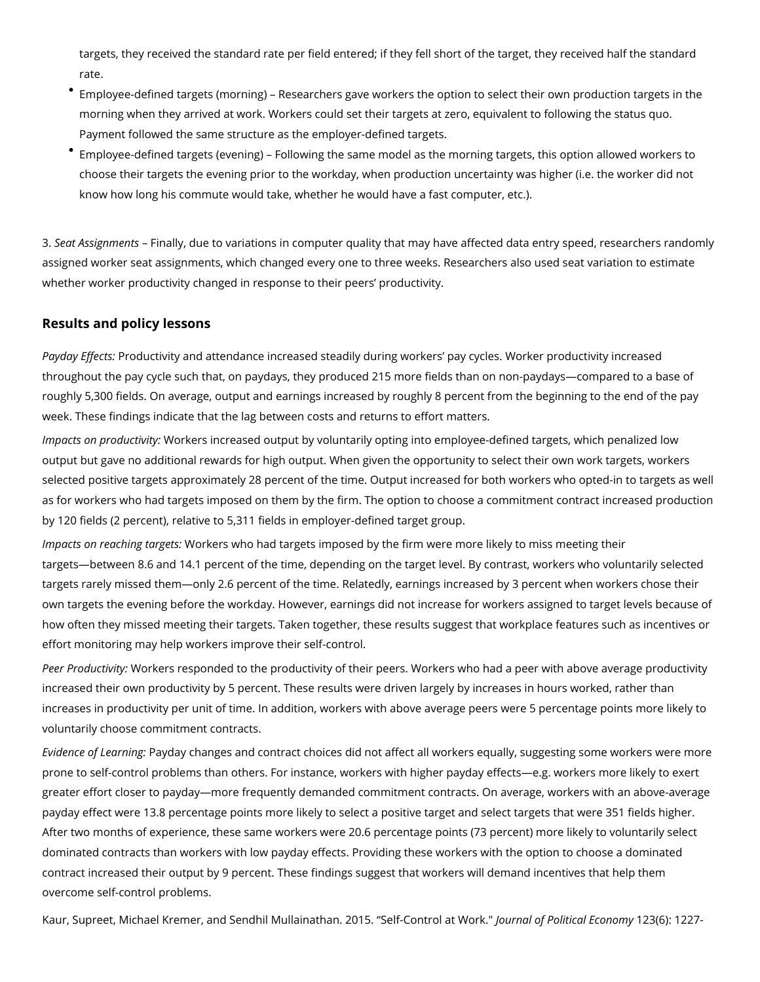targets, they received the standard rate per field entered; if they fell short of the target, they received half the standard rate.

- Employee-defined targets (morning) Researchers gave workers the option to select their own production targets in the morning when they arrived at work. Workers could set their targets at zero, equivalent to following the status quo. Payment followed the same structure as the employer-defined targets.
- Employee-defined targets (evening) Following the same model as the morning targets, this option allowed workers to choose their targets the evening prior to the workday, when production uncertainty was higher (i.e. the worker did not know how long his commute would take, whether he would have a fast computer, etc.).

3. *Seat Assignments* – Finally, due to variations in computer quality that may have affected data entry speed, researchers randomly assigned worker seat assignments, which changed every one to three weeks. Researchers also used seat variation to estimate whether worker productivity changed in response to their peers' productivity.

### **Results and policy lessons**

*Payday Effects:* Productivity and attendance increased steadily during workers' pay cycles. Worker productivity increased throughout the pay cycle such that, on paydays, they produced 215 more fields than on non-paydays—compared to a base of roughly 5,300 fields. On average, output and earnings increased by roughly 8 percent from the beginning to the end of the pay week. These findings indicate that the lag between costs and returns to effort matters.

*Impacts on productivity:* Workers increased output by voluntarily opting into employee-defined targets, which penalized low output but gave no additional rewards for high output. When given the opportunity to select their own work targets, workers selected positive targets approximately 28 percent of the time. Output increased for both workers who opted-in to targets as well as for workers who had targets imposed on them by the firm. The option to choose a commitment contract increased production by 120 fields (2 percent), relative to 5,311 fields in employer-defined target group.

*Impacts on reaching targets:* Workers who had targets imposed by the firm were more likely to miss meeting their targets—between 8.6 and 14.1 percent of the time, depending on the target level. By contrast, workers who voluntarily selected targets rarely missed them—only 2.6 percent of the time. Relatedly, earnings increased by 3 percent when workers chose their own targets the evening before the workday. However, earnings did not increase for workers assigned to target levels because of how often they missed meeting their targets. Taken together, these results suggest that workplace features such as incentives or effort monitoring may help workers improve their self-control.

*Peer Productivity:* Workers responded to the productivity of their peers. Workers who had a peer with above average productivity increased their own productivity by 5 percent. These results were driven largely by increases in hours worked, rather than increases in productivity per unit of time. In addition, workers with above average peers were 5 percentage points more likely to voluntarily choose commitment contracts.

*Evidence of Learning:* Payday changes and contract choices did not affect all workers equally, suggesting some workers were more prone to self-control problems than others. For instance, workers with higher payday effects—e.g. workers more likely to exert greater effort closer to payday—more frequently demanded commitment contracts. On average, workers with an above-average payday effect were 13.8 percentage points more likely to select a positive target and select targets that were 351 fields higher. After two months of experience, these same workers were 20.6 percentage points (73 percent) more likely to voluntarily select dominated contracts than workers with low payday effects. Providing these workers with the option to choose a dominated contract increased their output by 9 percent. These findings suggest that workers will demand incentives that help them overcome self-control problems.

Kaur, Supreet, Michael Kremer, and Sendhil Mullainathan. 2015. "Self-Control at Work." *Journal of Political Economy* 123(6): 1227-